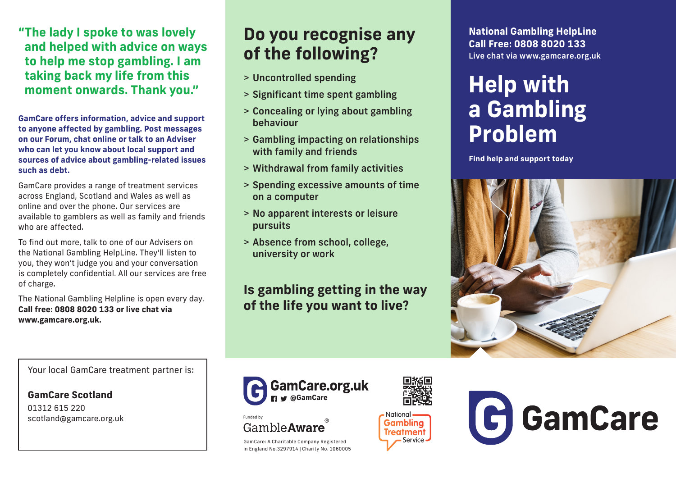**"The lady I spoke to was lovely and helped with advice on ways to help me stop gambling. I am taking back my life from this moment onwards. Thank you."**

**GamCare offers information, advice and support to anyone affected by gambling. Post messages on our Forum, chat online or talk to an Adviser who can let you know about local support and sources of advice about gambling-related issues such as debt.** 

GamCare provides a range of treatment services across England, Scotland and Wales as well as online and over the phone. Our services are available to gamblers as well as family and friends who are affected.

To find out more, talk to one of our Advisers on the National Gambling HelpLine. They'll listen to you, they won't judge you and your conversation is completely confidential. All our services are free of charge.

The National Gambling Helpline is open every day. **Call free: 0808 8020 133 or live chat via www.gamcare.org.uk.**

**Do you recognise any of the following?**

- > Uncontrolled spending
- > Significant time spent gambling
- > Concealing or lying about gambling behaviour
- > Gambling impacting on relationships with family and friends
- > Withdrawal from family activities
- > Spending excessive amounts of time on a computer
- > No apparent interests or leisure pursuits
- > Absence from school, college, university or work

### **Is gambling getting in the way of the life you want to live?**



Funded by GambleAware

GamCare: A Charitable Company Registered in England No.3297914 | Charity No. 1060005

**@GamCare**



**National Gambling HelpLine Call Free: 0808 8020 133** Live chat via www.gamcare.org.uk

# **Help with a Gambling Problem**

**Find help and support today**





Your local GamCare treatment partner is:

**GamCare Scotland** 01312 615 220

scotland@gamcare.org.uk